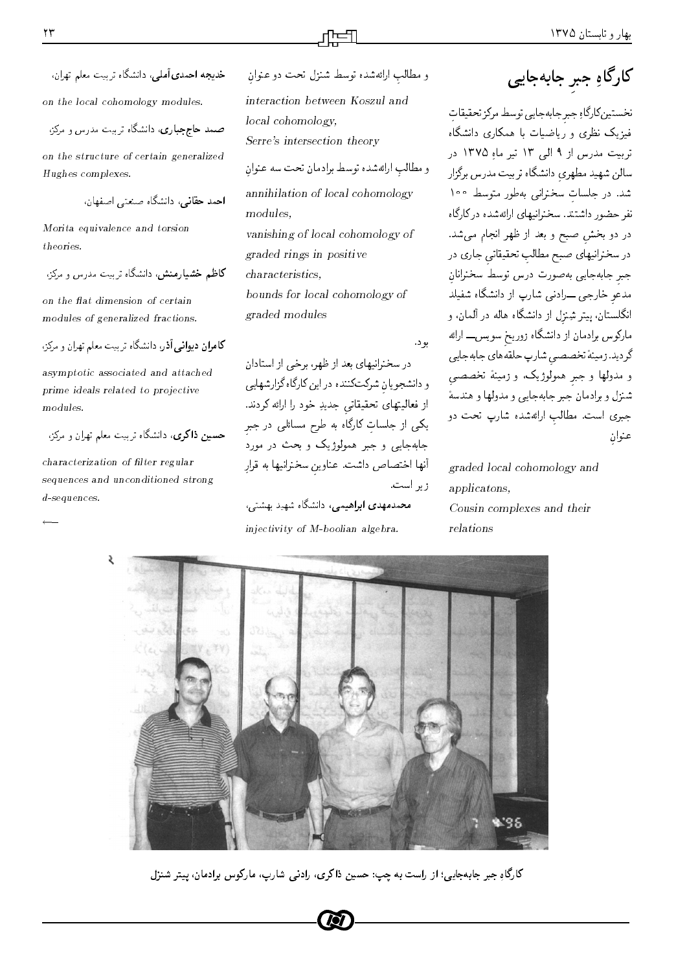ur article comparent and comparent and comparent and comparent and comparent and comparent and comparent and c on the local cohomology modules

rama and the components of  $\mathcal{O}(n)$  and  $\mathcal{O}(n)$ 

on the structure of certain generalizedHughes complexes

uyiY- DavY xoWv-O vkL OtL

Morita equivalence and torsiontheories

 $\mathcal{C}$  ,  $\mathcal{C}$  ,  $\mathcal{C}$  and  $\mathcal{C}$  are contracted in the contract of  $\mathcal{C}$  and  $\mathcal{C}$ 

on the nat dimension of certain modules of generalized fractions

request when you are compared to the contract of the contract of the contract of the contract of the contract

asymptotic associated and attachedprime ideals related to projective modules

rman srat C Que de la component component component component component component component component componen

characterization of filter regular sequences and unconditioned strong $d$ -sequences.

و مطالب ارائهشده توسط برادمان تحت سه عنوان - و مطالب اراتەسدە بوسط سىزل تحت دو غىوان interaction between Koszul andlocal cohomologySerre-s intersection theory

annihilation of local cohomologymodulesvanishing of local cohomology ofgraded rings in positivecharacteristicsbounds for local cohomology ofgraded modules

یو د .

uOD visini ja voolu vaari v - و- دانسچویان سرتیت(تین داین دارداه ترارسهایی از فعالیتهای تحقیقاتی جدیدِ خود را ارائه کردند. یکے از جنسان دارداہ به طرح مسائلے در جبر od the state of the swimty of the state of the state of the state of the state of the state of the state of the - انها احتصاص داست. عناوين سخنرانيها به فرار  $\sim$   $\sim$   $\sim$   $\sim$   $\sim$   $\sim$ 

 $\mathcal{L}$  of the state  $\mathcal{L}$  of the state  $\mathcal{L}$  of the state  $\mathcal{L}$ injectivity of M-boolian algebra.

كار كاه حير حابةحاتي

۔ نخستین دارداہ جبر جاہه جایے ، توسط مردر تحقیقات xoWvO Qmty C--Q w Qv l- R-i ۔ تربیت مدرس از ۱ الے ۱۲ تیر ماہ ۱۲۷۵ در اسالن سهید مطهری دانسداه بر بیت مدرس بردزار - سد. در جنسات سحبرانی ب*ه طو*ر میوسط <sup>۱۰۰</sup> xoQm QO xOWxQ y-vQvNU OvDWO Qw L Qi<sup>v</sup> در دو بخس صبح و بعد از طهر انجام مے سد. در سخترانیهای صبیح مصالب تحقیقاتی خاری در جبر جابهجایی بهصورت درس توسط سخترانان مدعو حارجے سوادتے , سارپ از دانستاہ ستیند - انگلستان، پیتر شِنزل از دانشگاه هاله در المان، و xow T-1, www.company.com -Hx H yxkrLAQW YYN <sup>D</sup> xv- tR O-OQo و مدونها و جنبر همونوریات، و زمینه تخصصتها w you yr yn yn yn y w yn y yn yn y gollan yn y gollan yn y yn y gollan yn y gollan yn y gollan yn y gollan yn y جبری است. مصالب ارائهسده سارپ بحث دو ستطلبوه المرار

graded local cohomology andapplicatonsCousin complexes and theirrelations



دارداه جبر جابهجایی: از راست به چپ: حسین دا دری، رادنی شارپ، ماردوس برادمان، پیتر شنزل